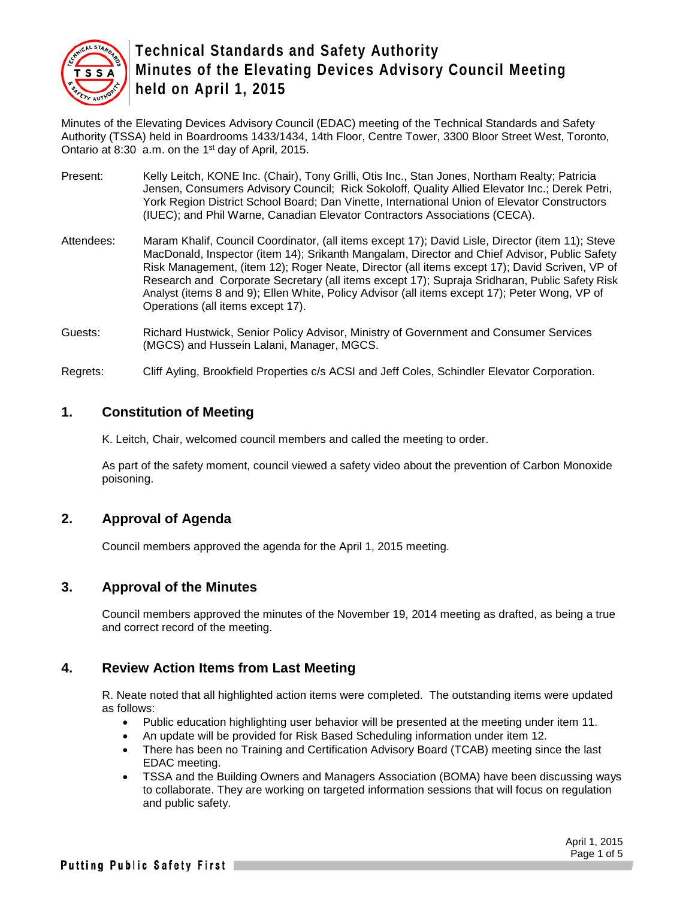

Minutes of the Elevating Devices Advisory Council (EDAC) meeting of the Technical Standards and Safety Authority (TSSA) held in Boardrooms 1433/1434, 14th Floor, Centre Tower, 3300 Bloor Street West, Toronto, Ontario at 8:30 a.m. on the 1st day of April, 2015.

- Present: Kelly Leitch, KONE Inc. (Chair), Tony Grilli, Otis Inc., Stan Jones, Northam Realty; Patricia Jensen, Consumers Advisory Council; Rick Sokoloff, Quality Allied Elevator Inc.; Derek Petri, York Region District School Board; Dan Vinette, International Union of Elevator Constructors (IUEC); and Phil Warne, Canadian Elevator Contractors Associations (CECA).
- Attendees: Maram Khalif, Council Coordinator, (all items except 17); David Lisle, Director (item 11); Steve MacDonald, Inspector (item 14); Srikanth Mangalam, Director and Chief Advisor, Public Safety Risk Management, (item 12); Roger Neate, Director (all items except 17); David Scriven, VP of Research and Corporate Secretary (all items except 17); Supraja Sridharan, Public Safety Risk Analyst (items 8 and 9); Ellen White, Policy Advisor (all items except 17); Peter Wong, VP of Operations (all items except 17).
- Guests: Richard Hustwick, Senior Policy Advisor, Ministry of Government and Consumer Services (MGCS) and Hussein Lalani, Manager, MGCS.

Regrets: Cliff Ayling, Brookfield Properties c/s ACSI and Jeff Coles, Schindler Elevator Corporation.

### **1. Constitution of Meeting**

K. Leitch, Chair, welcomed council members and called the meeting to order.

As part of the safety moment, council viewed a safety video about the prevention of Carbon Monoxide poisoning.

# **2. Approval of Agenda**

Council members approved the agenda for the April 1, 2015 meeting.

### **3. Approval of the Minutes**

Council members approved the minutes of the November 19, 2014 meeting as drafted, as being a true and correct record of the meeting.

### **4. Review Action Items from Last Meeting**

R. Neate noted that all highlighted action items were completed. The outstanding items were updated as follows:

- Public education highlighting user behavior will be presented at the meeting under item 11.
- An update will be provided for Risk Based Scheduling information under item 12.
- There has been no Training and Certification Advisory Board (TCAB) meeting since the last EDAC meeting.
- TSSA and the Building Owners and Managers Association (BOMA) have been discussing ways to collaborate. They are working on targeted information sessions that will focus on regulation and public safety.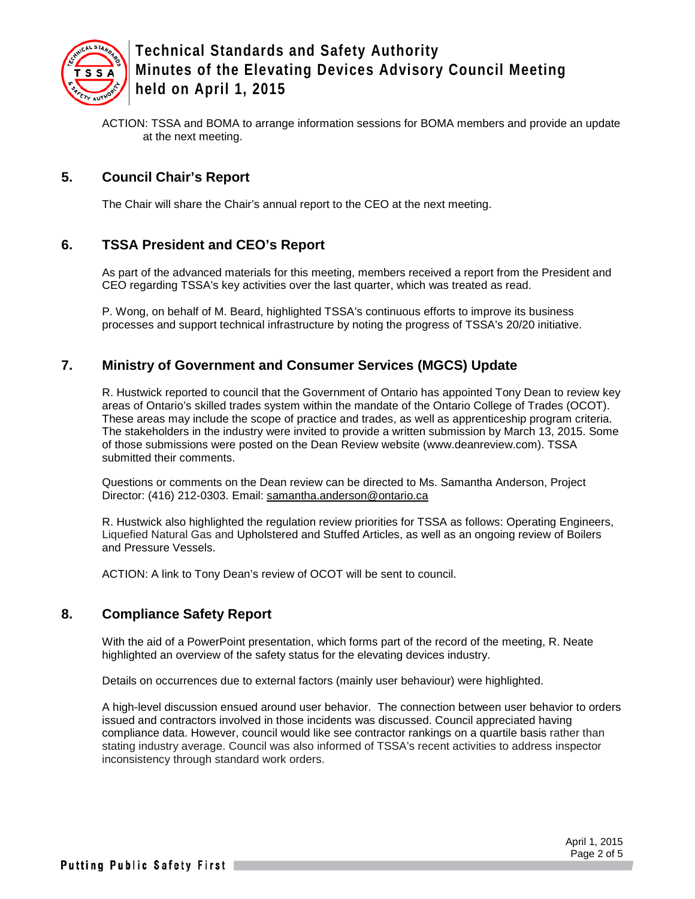

ACTION: TSSA and BOMA to arrange information sessions for BOMA members and provide an update at the next meeting.

### **5. Council Chair's Report**

The Chair will share the Chair's annual report to the CEO at the next meeting.

### **6. TSSA President and CEO's Report**

As part of the advanced materials for this meeting, members received a report from the President and CEO regarding TSSA's key activities over the last quarter, which was treated as read.

P. Wong, on behalf of M. Beard, highlighted TSSA's continuous efforts to improve its business processes and support technical infrastructure by noting the progress of TSSA's 20/20 initiative.

### **7. Ministry of Government and Consumer Services (MGCS) Update**

R. Hustwick reported to council that the Government of Ontario has appointed Tony Dean to review key areas of Ontario's skilled trades system within the mandate of the Ontario College of Trades (OCOT). These areas may include the scope of practice and trades, as well as apprenticeship program criteria. The stakeholders in the industry were invited to provide a written submission by March 13, 2015. Some of those submissions were posted on the Dean Review website (www.deanreview.com). TSSA submitted their comments.

Questions or comments on the Dean review can be directed to Ms. Samantha Anderson, Project Director: [\(416\) 212-0303.](tel:%28416%29%20212-0303) Email: [samantha.anderson@ontario.ca](mailto:samantha.anderson@ontario.ca)

R. Hustwick also highlighted the regulation review priorities for TSSA as follows: Operating Engineers, Liquefied Natural Gas and Upholstered and Stuffed Articles, as well as an ongoing review of Boilers and Pressure Vessels.

ACTION: A link to Tony Dean's review of OCOT will be sent to council.

### **8. Compliance Safety Report**

With the aid of a PowerPoint presentation, which forms part of the record of the meeting, R. Neate highlighted an overview of the safety status for the elevating devices industry.

Details on occurrences due to external factors (mainly user behaviour) were highlighted.

A high-level discussion ensued around user behavior. The connection between user behavior to orders issued and contractors involved in those incidents was discussed. Council appreciated having compliance data. However, council would like see contractor rankings on a quartile basis rather than stating industry average. Council was also informed of TSSA's recent activities to address inspector inconsistency through standard work orders.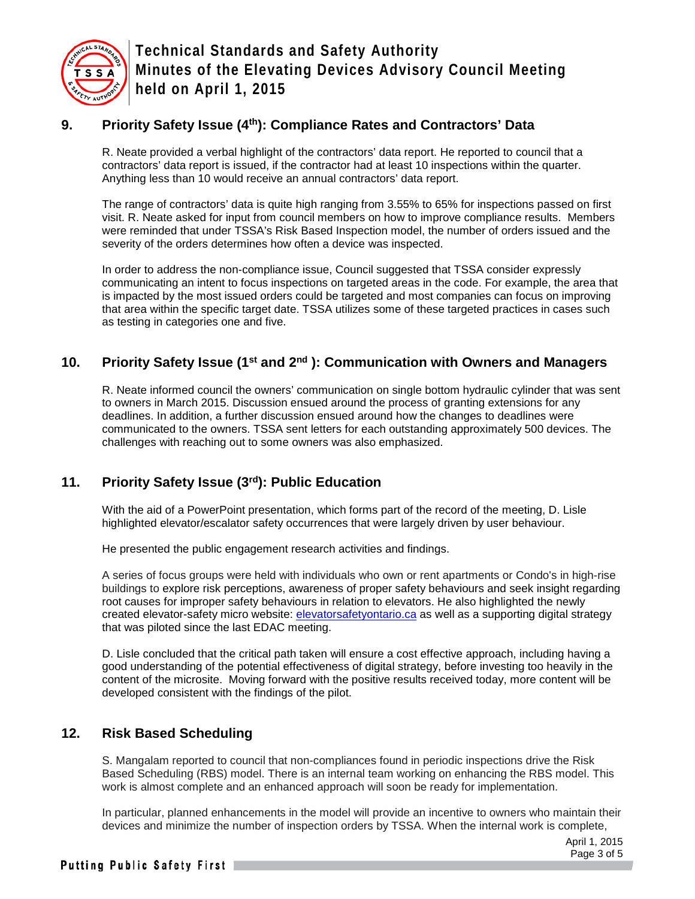

# **9. Priority Safety Issue (4th): Compliance Rates and Contractors' Data**

R. Neate provided a verbal highlight of the contractors' data report. He reported to council that a contractors' data report is issued, if the contractor had at least 10 inspections within the quarter. Anything less than 10 would receive an annual contractors' data report.

The range of contractors' data is quite high ranging from 3.55% to 65% for inspections passed on first visit. R. Neate asked for input from council members on how to improve compliance results. Members were reminded that under TSSA's Risk Based Inspection model, the number of orders issued and the severity of the orders determines how often a device was inspected.

In order to address the non-compliance issue, Council suggested that TSSA consider expressly communicating an intent to focus inspections on targeted areas in the code. For example, the area that is impacted by the most issued orders could be targeted and most companies can focus on improving that area within the specific target date. TSSA utilizes some of these targeted practices in cases such as testing in categories one and five.

# **10. Priority Safety Issue (1st and 2nd ): Communication with Owners and Managers**

R. Neate informed council the owners' communication on single bottom hydraulic cylinder that was sent to owners in March 2015. Discussion ensued around the process of granting extensions for any deadlines. In addition, a further discussion ensued around how the changes to deadlines were communicated to the owners. TSSA sent letters for each outstanding approximately 500 devices. The challenges with reaching out to some owners was also emphasized.

# **11. Priority Safety Issue (3rd): Public Education**

With the aid of a PowerPoint presentation, which forms part of the record of the meeting, D. Lisle highlighted elevator/escalator safety occurrences that were largely driven by user behaviour.

He presented the public engagement research activities and findings.

A series of focus groups were held with individuals who own or rent apartments or Condo's in high-rise buildings to explore risk perceptions, awareness of proper safety behaviours and seek insight regarding root causes for improper safety behaviours in relation to elevators. He also highlighted the newly created elevator-safety micro website: elevatorsafetyontario.ca as well as a supporting digital strategy that was piloted since the last EDAC meeting.

D. Lisle concluded that the critical path taken will ensure a cost effective approach, including having a good understanding of the potential effectiveness of digital strategy, before investing too heavily in the content of the microsite. Moving forward with the positive results received today, more content will be developed consistent with the findings of the pilot.

# **12. Risk Based Scheduling**

S. Mangalam reported to council that non-compliances found in periodic inspections drive the Risk Based Scheduling (RBS) model. There is an internal team working on enhancing the RBS model. This work is almost complete and an enhanced approach will soon be ready for implementation.

In particular, planned enhancements in the model will provide an incentive to owners who maintain their devices and minimize the number of inspection orders by TSSA. When the internal work is complete,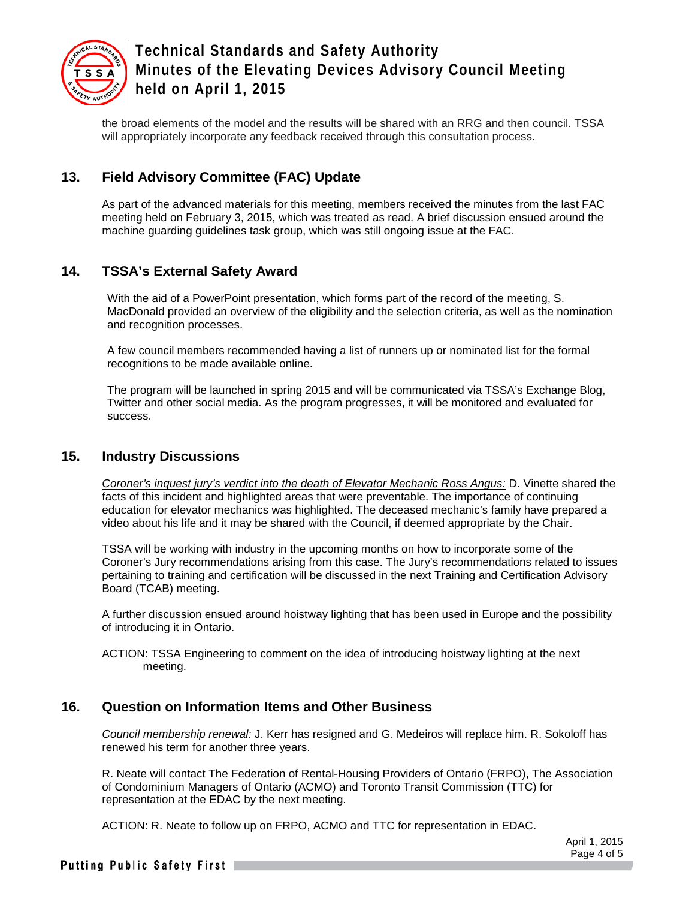

the broad elements of the model and the results will be shared with an RRG and then council. TSSA will appropriately incorporate any feedback received through this consultation process.

# **13. Field Advisory Committee (FAC) Update**

As part of the advanced materials for this meeting, members received the minutes from the last FAC meeting held on February 3, 2015, which was treated as read. A brief discussion ensued around the machine guarding guidelines task group, which was still ongoing issue at the FAC.

# **14. TSSA's External Safety Award**

With the aid of a PowerPoint presentation, which forms part of the record of the meeting, S. MacDonald provided an overview of the eligibility and the selection criteria, as well as the nomination and recognition processes.

A few council members recommended having a list of runners up or nominated list for the formal recognitions to be made available online.

The program will be launched in spring 2015 and will be communicated via TSSA's Exchange Blog, Twitter and other social media. As the program progresses, it will be monitored and evaluated for success.

### **15. Industry Discussions**

*Coroner's inquest jury's verdict into the death of Elevator Mechanic Ross Angus:* D. Vinette shared the facts of this incident and highlighted areas that were preventable. The importance of continuing education for elevator mechanics was highlighted. The deceased mechanic's family have prepared a video about his life and it may be shared with the Council, if deemed appropriate by the Chair.

TSSA will be working with industry in the upcoming months on how to incorporate some of the Coroner's Jury recommendations arising from this case. The Jury's recommendations related to issues pertaining to training and certification will be discussed in the next Training and Certification Advisory Board (TCAB) meeting.

A further discussion ensued around hoistway lighting that has been used in Europe and the possibility of introducing it in Ontario.

ACTION: TSSA Engineering to comment on the idea of introducing hoistway lighting at the next meeting.

# **16. Question on Information Items and Other Business**

*Council membership renewal:* J. Kerr has resigned and G. Medeiros will replace him. R. Sokoloff has renewed his term for another three years.

R. Neate will contact The Federation of Rental-Housing Providers of Ontario (FRPO), The Association of Condominium Managers of Ontario (ACMO) and Toronto Transit Commission (TTC) for representation at the EDAC by the next meeting.

ACTION: R. Neate to follow up on FRPO, ACMO and TTC for representation in EDAC.